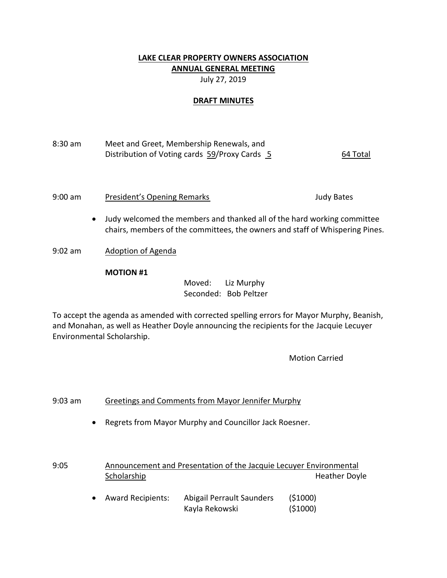# **LAKE CLEAR PROPERTY OWNERS ASSOCIATION ANNUAL GENERAL MEETING**

July 27, 2019

### **DRAFT MINUTES**

# 8:30 am Meet and Greet, Membership Renewals, and Distribution of Voting cards 59/Proxy Cards 5 64 Total

9:00 am President's Opening Remarks Theorem and Sudy Bates

- Judy welcomed the members and thanked all of the hard working committee chairs, members of the committees, the owners and staff of Whispering Pines.
- 9:02 am Adoption of Agenda

### **MOTION #1**

Moved: Liz Murphy Seconded: Bob Peltzer

To accept the agenda as amended with corrected spelling errors for Mayor Murphy, Beanish, and Monahan, as well as Heather Doyle announcing the recipients for the Jacquie Lecuyer Environmental Scholarship.

Motion Carried

# 9:03 am Greetings and Comments from Mayor Jennifer Murphy

Regrets from Mayor Murphy and Councillor Jack Roesner.

| 9:05 | Announcement and Presentation of the Jacquie Lecuyer Environmental |                                             |                      |  |
|------|--------------------------------------------------------------------|---------------------------------------------|----------------------|--|
|      | Scholarship                                                        |                                             | <b>Heather Doyle</b> |  |
|      | <b>Award Recipients:</b>                                           | Abigail Perrault Saunders<br>Kayla Rekowski | (51000)<br>(51000)   |  |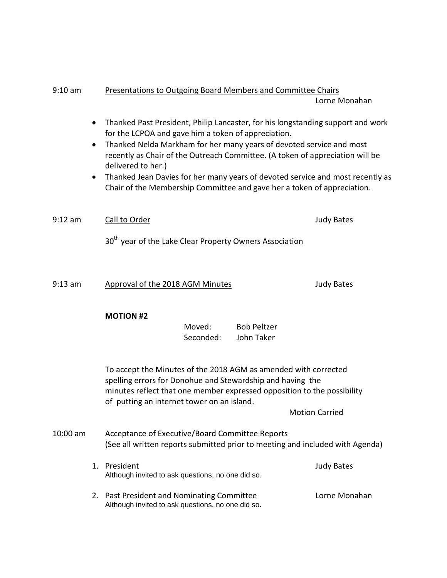# 9:10 am Presentations to Outgoing Board Members and Committee Chairs

Lorne Monahan

- Thanked Past President, Philip Lancaster, for his longstanding support and work for the LCPOA and gave him a token of appreciation.
- Thanked Nelda Markham for her many years of devoted service and most recently as Chair of the Outreach Committee. (A token of appreciation will be delivered to her.)
- Thanked Jean Davies for her many years of devoted service and most recently as Chair of the Membership Committee and gave her a token of appreciation.

9:12 am Call to Order Judy Bates

30<sup>th</sup> vear of the Lake Clear Property Owners Association

9:13 am Approval of the 2018 AGM Minutes and Mudy Bates

#### **MOTION #2**

Moved: Bob Peltzer Seconded: John Taker

To accept the Minutes of the 2018 AGM as amended with corrected spelling errors for Donohue and Stewardship and having the minutes reflect that one member expressed opposition to the possibility of putting an internet tower on an island.

Motion Carried

# 10:00 am Acceptance of Executive/Board Committee Reports (See all written reports submitted prior to meeting and included with Agenda)

- 1. President Judy Bates Although invited to ask questions, no one did so.
- 2. Past President and Nominating Committee **Lorne Monahan** Although invited to ask questions, no one did so.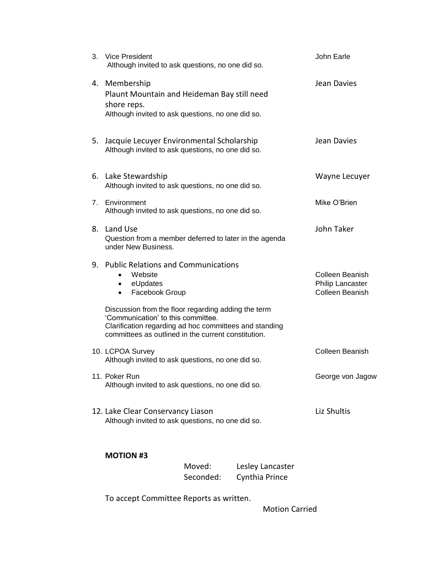|    | 3. Vice President<br>Although invited to ask questions, no one did so.                                                                                                                                              | John Earle                                                    |
|----|---------------------------------------------------------------------------------------------------------------------------------------------------------------------------------------------------------------------|---------------------------------------------------------------|
|    | 4. Membership<br>Plaunt Mountain and Heideman Bay still need<br>shore reps.<br>Although invited to ask questions, no one did so.                                                                                    | Jean Davies                                                   |
| 5. | Jacquie Lecuyer Environmental Scholarship<br>Although invited to ask questions, no one did so.                                                                                                                      | Jean Davies                                                   |
|    | 6. Lake Stewardship<br>Although invited to ask questions, no one did so.                                                                                                                                            | Wayne Lecuyer                                                 |
|    | 7. Environment<br>Although invited to ask questions, no one did so.                                                                                                                                                 | Mike O'Brien                                                  |
|    | 8. Land Use<br>Question from a member deferred to later in the agenda<br>under New Business.                                                                                                                        | John Taker                                                    |
|    | 9. Public Relations and Communications<br>Website<br>$\bullet$<br>eUpdates<br>$\bullet$<br>Facebook Group<br>$\bullet$<br>Discussion from the floor regarding adding the term<br>'Communication' to this committee. | <b>Colleen Beanish</b><br>Philip Lancaster<br>Colleen Beanish |
|    | Clarification regarding ad hoc committees and standing<br>committees as outlined in the current constitution.                                                                                                       |                                                               |
|    | 10. LCPOA Survey<br>Although invited to ask questions, no one did so.                                                                                                                                               | <b>Colleen Beanish</b>                                        |
|    | 11. Poker Run<br>Although invited to ask questions, no one did so.                                                                                                                                                  | George von Jagow                                              |
|    | 12. Lake Clear Conservancy Liason<br>Although invited to ask questions, no one did so.                                                                                                                              | Liz Shultis                                                   |
|    | <b>MOTION #3</b>                                                                                                                                                                                                    |                                                               |

| Moved:    | Lesley Lancaster |  |
|-----------|------------------|--|
| Seconded: | Cynthia Prince   |  |

To accept Committee Reports as written.

Motion Carried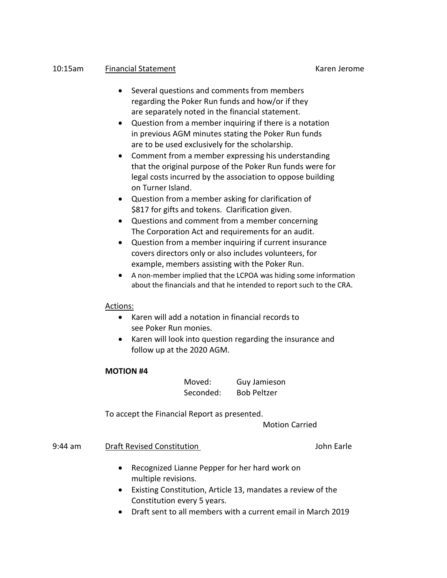# 10:15am Financial Statement Karen Jerome

- Several questions and comments from members regarding the Poker Run funds and how/or if they are separately noted in the financial statement.
- Question from a member inquiring if there is a notation in previous AGM minutes stating the Poker Run funds are to be used exclusively for the scholarship.
- Comment from a member expressing his understanding that the original purpose of the Poker Run funds were for legal costs incurred by the association to oppose building on Turner Island.
- Question from a member asking for clarification of \$817 for gifts and tokens. Clarification given.
- Questions and comment from a member concerning The Corporation Act and requirements for an audit.
- Question from a member inquiring if current insurance covers directors only or also includes volunteers, for example, members assisting with the Poker Run.
- A non-member implied that the LCPOA was hiding some information about the financials and that he intended to report such to the CRA.

# Actions:

- Karen will add a notation in financial records to see Poker Run monies.
- Karen will look into question regarding the insurance and follow up at the 2020 AGM.

#### **MOTION #4**

| Moved:    | <b>Guy Jamieson</b> |
|-----------|---------------------|
| Seconded: | <b>Bob Peltzer</b>  |

To accept the Financial Report as presented.

Motion Carried

# 9:44 am Draft Revised Constitution **John Earle** John Earle

- Recognized Lianne Pepper for her hard work on multiple revisions.
- Existing Constitution, Article 13, mandates a review of the Constitution every 5 years.
- Draft sent to all members with a current email in March 2019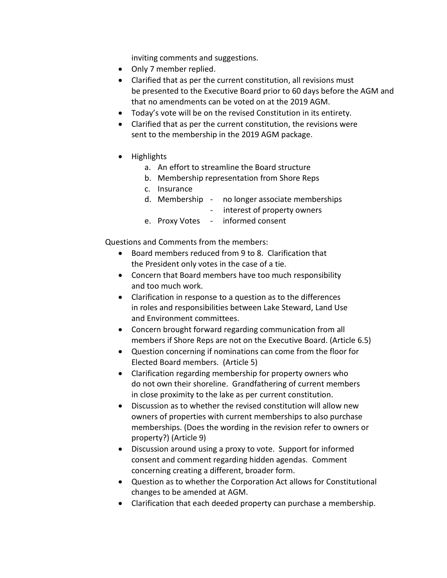inviting comments and suggestions.

- Only 7 member replied.
- Clarified that as per the current constitution, all revisions must be presented to the Executive Board prior to 60 days before the AGM and that no amendments can be voted on at the 2019 AGM.
- Today's vote will be on the revised Constitution in its entirety.
- Clarified that as per the current constitution, the revisions were sent to the membership in the 2019 AGM package.
- Highlights
	- a. An effort to streamline the Board structure
	- b. Membership representation from Shore Reps
	- c. Insurance
	- d. Membership no longer associate memberships
		- interest of property owners
	- e. Proxy Votes informed consent

Questions and Comments from the members:

- Board members reduced from 9 to 8. Clarification that the President only votes in the case of a tie.
- Concern that Board members have too much responsibility and too much work.
- Clarification in response to a question as to the differences in roles and responsibilities between Lake Steward, Land Use and Environment committees.
- Concern brought forward regarding communication from all members if Shore Reps are not on the Executive Board. (Article 6.5)
- Question concerning if nominations can come from the floor for Elected Board members. (Article 5)
- Clarification regarding membership for property owners who do not own their shoreline. Grandfathering of current members in close proximity to the lake as per current constitution.
- Discussion as to whether the revised constitution will allow new owners of properties with current memberships to also purchase memberships. (Does the wording in the revision refer to owners or property?) (Article 9)
- Discussion around using a proxy to vote. Support for informed consent and comment regarding hidden agendas. Comment concerning creating a different, broader form.
- Question as to whether the Corporation Act allows for Constitutional changes to be amended at AGM.
- Clarification that each deeded property can purchase a membership.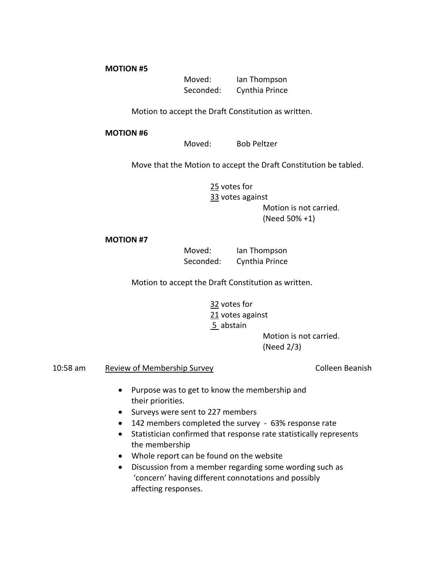**MOTION #5**

Moved: Ian Thompson Seconded: Cynthia Prince

Motion to accept the Draft Constitution as written.

#### **MOTION #6**

Moved: Bob Peltzer

Move that the Motion to accept the Draft Constitution be tabled.

25 votes for 33 votes against Motion is not carried. (Need 50% +1)

#### **MOTION #7**

Moved: Ian Thompson Seconded: Cynthia Prince

Motion to accept the Draft Constitution as written.

32 votes for 21 votes against 5 abstain Motion is not carried.

(Need 2/3)

10:58 am Review of Membership Survey Colleen Beanish

- Purpose was to get to know the membership and their priorities.
- Surveys were sent to 227 members
- 142 members completed the survey 63% response rate
- Statistician confirmed that response rate statistically represents the membership
- Whole report can be found on the website
- Discussion from a member regarding some wording such as 'concern' having different connotations and possibly affecting responses.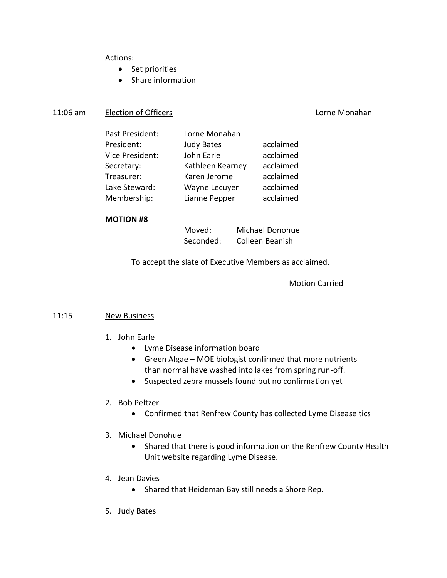# Actions:

- Set priorities
- Share information

# 11:06 am Election of Officers **Lorne Monahan**

| Past President: | Lorne Monahan     |           |
|-----------------|-------------------|-----------|
| President:      | <b>Judy Bates</b> | acclaimed |
| Vice President: | John Earle        | acclaimed |
| Secretary:      | Kathleen Kearney  | acclaimed |
| Treasurer:      | Karen Jerome      | acclaimed |
| Lake Steward:   | Wayne Lecuyer     | acclaimed |
| Membership:     | Lianne Pepper     | acclaimed |
|                 |                   |           |

#### **MOTION #8**

Moved: Michael Donohue Seconded: Colleen Beanish

To accept the slate of Executive Members as acclaimed.

### Motion Carried

#### 11:15 New Business

- 1. John Earle
	- Lyme Disease information board
	- Green Algae MOE biologist confirmed that more nutrients than normal have washed into lakes from spring run-off.
	- Suspected zebra mussels found but no confirmation yet
- 2. Bob Peltzer
	- Confirmed that Renfrew County has collected Lyme Disease tics
- 3. Michael Donohue
	- Shared that there is good information on the Renfrew County Health Unit website regarding Lyme Disease.
- 4. Jean Davies
	- Shared that Heideman Bay still needs a Shore Rep.
- 5. Judy Bates